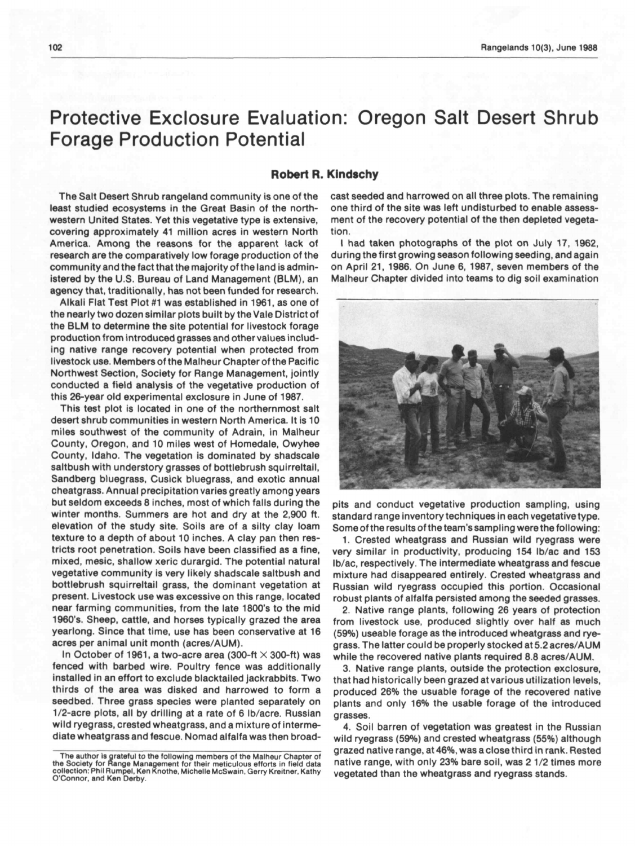## Protective Exclosure Evaluation: Oregon Salt Desert Shrub Forage Production Potential

## Robert R. Klndschy

The Salt Desert Shrub rangeland community is one of the least studied ecosystems in the Great Basin of the northwestern United States. Yet this vegetative type is extensive, covering approximately 41 million acres in western North America. Among the reasons for the apparent lack of research are the comparatively low forage production of the community and the fact that the majority of the land is administered by the U.S. Bureau of Land Management (BLM), an agency that, traditionally, has not been funded for research.

Alkali Flat Test Plot #1 was established in 1961, as one of the nearly two dozen similar plots built by the Vale District of the BLM to determine the site potential for livestock forage production from Introduced grasses and other values including native range recovery potential when protected from livestock use. Members of the Malheur Chapter of the Pacific Northwest Section, Society for Range Management, jointly conducted a field analysis of the vegetative production of this 26-year old experimental exclosure in June of 1987.

This test plot is located in one of the northernmost salt desert shrub communities in western North America. It is 10 miles southwest of the community of Adrain, in Maiheur County, Oregon, and 10 miles west of Homedale, Owyhee County, Idaho. The vegetation is dominated by shadscale saltbush with understory grasses of bottlebrush squirreltail, Sandberg bluegrass, Cusick bluegrass, and exotic annual cheatgrass. Annual precipitation varies greatly among years but seldom exceeds 8 inches, most of which falls during the winter months. Summers are hot and dry at the 2,900 ft. elevation of the study site. Soils are of a silty clay loam texture to a depth of about 10 inches. A clay pan then restricts root penetration. Soils have been classified as a fine, mixed, mesic, shallow xeric durargid. The potential natural vegetative community is very likely shadscale saltbush and bottlebrush squirreltail grass, the dominant vegetation at present. Livestock use was excessive on this range, located near farming communities, from the late 1800's to the mid 1960's. Sheep, cattle, and horses typically grazed the area yearlong. Since that time, use has been conservative at 16 acres per animal unit month (acres/AUM).

In October of 1961, a two-acre area (300-ft  $\times$  300-ft) was fenced with barbed wire. Poultry fence was additionally installed in an effort to exclude blacktailed jackrabbits. Two thirds of the area was disked and harrowed to form a seedbed. Three grass species were planted separately on 1/2-acre plots, all by drilling at a rate of 6 lb/acre. Russian wild ryegrass, crested wheatgrass, and a mixture of intermediate wheatgrass and fescue. Nomad alfalfa was then broadcast seeded and harrowed on all three plots. The remaining one third of the site was left undisturbed to enable assessment of the recovery potential of the then depleted vegetation.

I had taken photographs of the plot on July 17, 1962, during the first growing season following seeding, and again on April 21, 1986. On June 6, 1987, seven members of the Malheur Chapter divided into teams to dig soil examination



pits and conduct vegetative production sampling, using standard range inventory techniques in each vegetative type. Some of the results of the team's sampling were the following:

1. Crested wheatgrass and Russian wild ryegrass were very similar in productivity, producing 154 lb/ac and <sup>153</sup> lb/ac, respectively. The intermediate wheatgrass and fescue mixture had disappeared entirely. Crested wheatgrass and Russian wild ryegrass occupied this portion. Occasional robust plants of alfalfa persisted among the seeded grasses.

2. Native range plants, following 26 years of protection from livestock use, produced slightly over half as much (59%) useable forage as the introduced wheatgrass and ryegrass. The latter could be properly stocked at 5.2 acres/AUM while the recovered native plants required 8.8 acres/AUM.

3. Native range plants, outside the protection exclosure, that had historically been grazed at various utilization levels, produced 26% the usuable forage of the recovered native plants and only 16% the usable forage of the introduced grasses.

4. Soil barren of vegetation was greatest in the Russian wild ryegrass (59%) and crested wheatgrass (55%) although grazed native range, at 46%, was a close third in rank. Rested native range, with only 23% bare soil, was 2 1/2 times more vegetated than the wheatgrass and ryegrass stands.

The author is grateful to the following members of the Malheur Chapter of the Society for Range Management for their meticulous efforts in field data collection: Phil Rumpel, Ken Knothe, Michelle McSwaln, Gerry Kreltner. Kathy O'Connor, and Ken Derby.